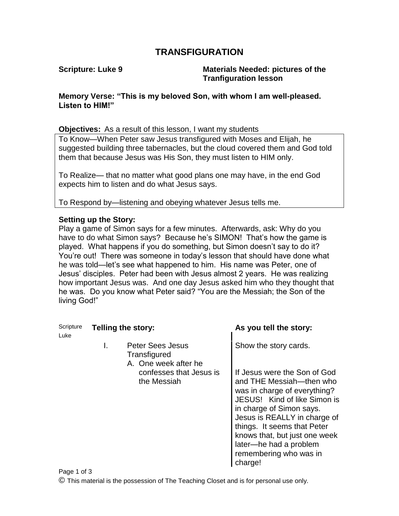## **TRANSFIGURATION**

**Scripture: Luke 9 Materials Needed: pictures of the Tranfiguration lesson**

**Memory Verse: "This is my beloved Son, with whom I am well-pleased. Listen to HIM!"**

**Objectives:** As a result of this lesson, I want my students

To Know—When Peter saw Jesus transfigured with Moses and Elijah, he suggested building three tabernacles, but the cloud covered them and God told them that because Jesus was His Son, they must listen to HIM only.

To Realize— that no matter what good plans one may have, in the end God expects him to listen and do what Jesus says.

To Respond by—listening and obeying whatever Jesus tells me.

## **Setting up the Story:**

Play a game of Simon says for a few minutes. Afterwards, ask: Why do you have to do what Simon says? Because he's SIMON! That's how the game is played. What happens if you do something, but Simon doesn't say to do it? You're out! There was someone in today's lesson that should have done what he was told—let's see what happened to him. His name was Peter, one of Jesus' disciples. Peter had been with Jesus almost 2 years. He was realizing how important Jesus was. And one day Jesus asked him who they thought that he was. Do you know what Peter said? "You are the Messiah; the Son of the living God!"

| Scripture<br>Luke | <b>Telling the story:</b> |                                                                 | As you tell the story:                                                                                                                                                                                                                                                                                              |
|-------------------|---------------------------|-----------------------------------------------------------------|---------------------------------------------------------------------------------------------------------------------------------------------------------------------------------------------------------------------------------------------------------------------------------------------------------------------|
|                   | I.                        | <b>Peter Sees Jesus</b><br>Transfigured<br>A. One week after he | Show the story cards.                                                                                                                                                                                                                                                                                               |
|                   |                           | confesses that Jesus is<br>the Messiah                          | If Jesus were the Son of God<br>and THE Messiah-then who<br>was in charge of everything?<br>JESUS! Kind of like Simon is<br>in charge of Simon says.<br>Jesus is REALLY in charge of<br>things. It seems that Peter<br>knows that, but just one week<br>later-he had a problem<br>remembering who was in<br>charge! |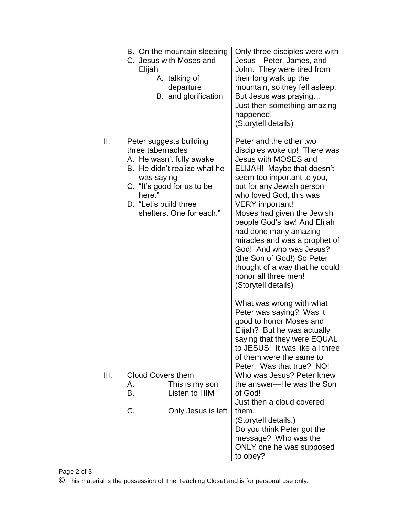|      | Elijah                                                             | B. On the mountain sleeping<br>C. Jesus with Moses and<br>A. talking of<br>departure<br>B. and glorification                                  | Only three disciples were with<br>Jesus-Peter, James, and<br>John. They were tired from<br>their long walk up the<br>mountain, so they fell asleep.<br>But Jesus was praying<br>Just then something amazing<br>happened!<br>(Storytell details)                                                                                                                                                                                                                                                 |
|------|--------------------------------------------------------------------|-----------------------------------------------------------------------------------------------------------------------------------------------|-------------------------------------------------------------------------------------------------------------------------------------------------------------------------------------------------------------------------------------------------------------------------------------------------------------------------------------------------------------------------------------------------------------------------------------------------------------------------------------------------|
| Ш.   | three tabernacles<br>was saying<br>here."<br>D. "Let's build three | Peter suggests building<br>A. He wasn't fully awake<br>B. He didn't realize what he<br>C. "It's good for us to be<br>shelters. One for each." | Peter and the other two<br>disciples woke up! There was<br>Jesus with MOSES and<br>ELIJAH! Maybe that doesn't<br>seem too important to you,<br>but for any Jewish person<br>who loved God, this was<br><b>VERY</b> important!<br>Moses had given the Jewish<br>people God's law! And Elijah<br>had done many amazing<br>miracles and was a prophet of<br>God! And who was Jesus?<br>(the Son of God!) So Peter<br>thought of a way that he could<br>honor all three men!<br>(Storytell details) |
| III. | <b>Cloud Covers them</b><br>А.<br>B.<br>C.                         | This is my son<br>Listen to HIM                                                                                                               | What was wrong with what<br>Peter was saying? Was it<br>good to honor Moses and<br>Elijah? But he was actually<br>saying that they were EQUAL<br>to JESUS! It was like all three<br>of them were the same to<br>Peter. Was that true? NO!<br>Who was Jesus? Peter knew<br>the answer-He was the Son<br>of God!<br>Just then a cloud covered<br>them.                                                                                                                                            |
|      |                                                                    | Only Jesus is left                                                                                                                            | (Storytell details.)<br>Do you think Peter got the<br>message? Who was the<br>ONLY one he was supposed<br>to obey?                                                                                                                                                                                                                                                                                                                                                                              |